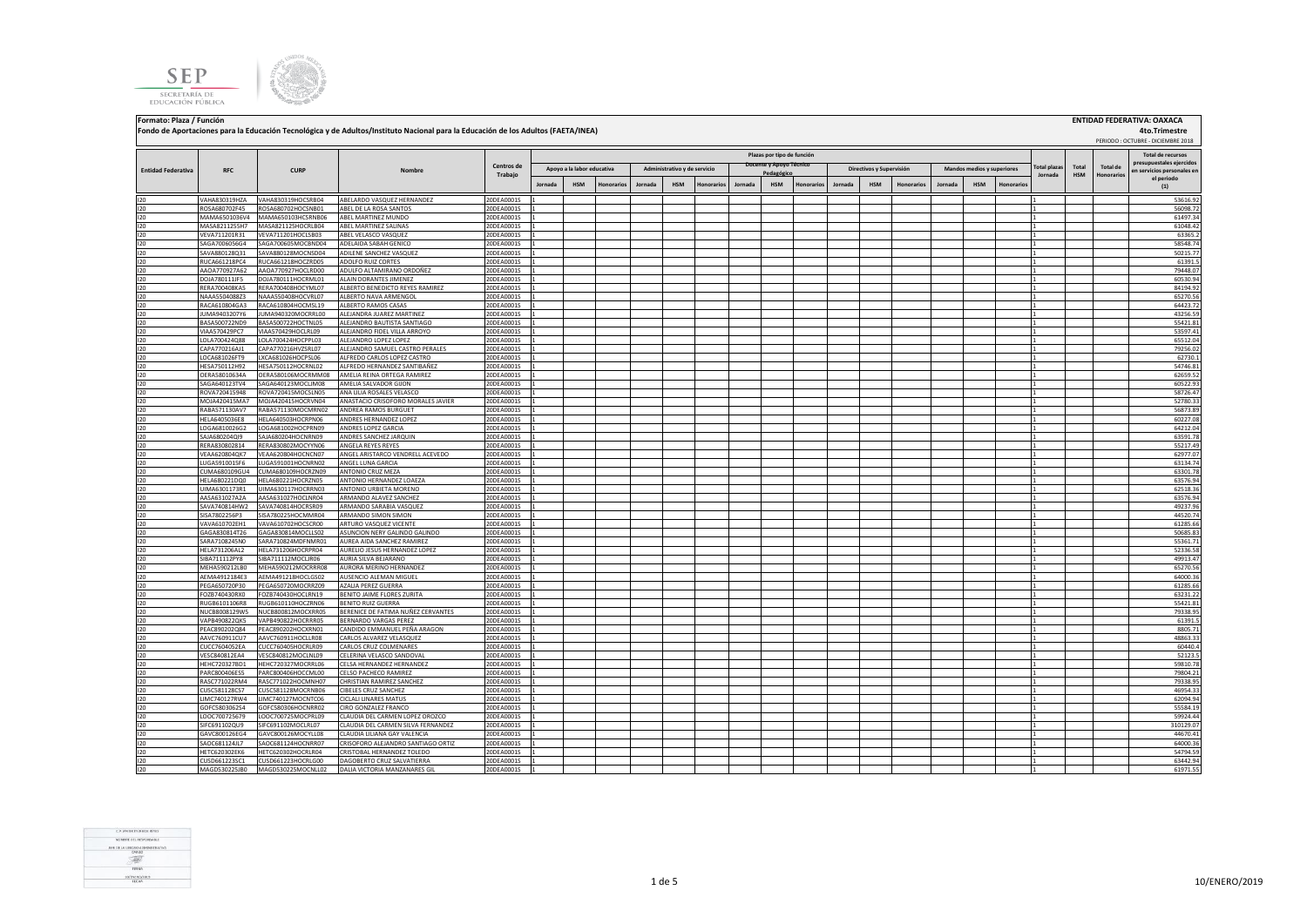**SEP** SECRETARÍA DE EDUCACIÓN PÚBLICA



**Fondo de Aportaciones para la Educación Tecnológica y de Adultos/Instituto Nacional para la Educación de los Adultos (FAETA/INEA)**

 PERIODO : OCTUBRE - DICIEMBRE 2018 **Jornada HSM Honorarios Jornada HSM Honorarios Jornada HSM Honorarios Jornada HSM Honorarios Jornada HSM Honorarios** I20 VAHA830319HZA VAHA830319HOCSRB04 ABELARDO VASQUEZ HERNANDEZ 20DEA0001S 1 1 53616.92 I20 ROSA680702F45 ROSA680702HOCSNB01 ABEL DE LA ROSA SANTOS 20DEA0001S 1 1 56098.72 I20 MAMA6501036V4 MAMA650103HCSRNB06 ABEL MARTINEZ MUNDO 20DEA0001S 1 1 61497.34 I20 MASA8211255H7 |MASA821125HOCRLB04 ABEL MARTINEZ SALINAS \_\_\_\_\_\_\_\_\_\_\_\_\_\_\_\_\_\_\_\_20DEA0001S \_1 |\_\_\_\_\_\_\_\_\_\_\_\_\_\_\_\_ I20 VEVA711201R31 VEVA711201HOCLSB03 ABEL VELASCO VASQUEZ 20DEA0001S 1 1 63365.2 I20 SAGA7006056G4 SAGA700605MOCBND04 ADELAIDA SABAH GENICO 20DEA0001S 1 2 30DEA0001S 20 20DEA0001S 20 20DEA0001S 1 2 3 38548.74 I20 SAVA880128Q31 SAVA880128MOCNSD04 ADILENE SANCHEZ VASQUEZ 20DEA0001S 1 1 50215.77 I20 RUCA661218PC4 RUCA661218HOCZRD05 ADOLFO.RUIZ.CORTES 20DEA0001S 1 2 20DEA0001S 20 20DEA0001S 20 20DEA0001S 2 I20 AAOA770927A62 AAOA770927HOCLRD00 ADULFO ALTAMIRANO ORDOÑEZ 20DEA0001S 1 1 79448.07 I20 DOJA780111JF5 DOJA780111HOCRML01 ALAIN DORANTES JIMENEZ 20DEA0001S 1 1 60530.94 I20 RERA700408KA5 RERA700408HOCYML07 ALBERTO BENEDICTO REYES RAMIREZ 20DEA0001S 1 1 84194.92 I20 NAAA5504088Z3 NAAA550408HOCVRL07 ALBERTO NAVA ARMENGOL 20DEA0001S 1 1 65270.56 I20 RACA610804GA3 RACA610804HOCMSL19 ALBERTO RAMOS CASAS 20DEA0001S 1 1 64423.72 I20 JUMA9403207Y6 JUMA940320MOCRRL00 ALEJANDRA JUAREZ MARTINEZ 20DEA0001S 1 1 43256.59 I20 BASA500722ND9 BASA500722HOCTNL05 ALEJANDRO BAUTISTA SANTIAGO 20DEA0001S 1 1 55421.81 I20 VIAA570429PC7 VIAA570429HOCLRL09 ALEJANDRO FIDEL VILLA ARROYO 20DEA0001S 1 1 53597.41 I20 LOLA700424Q88 LOLA700424HOCPPL03 ALEJANDRO LOPEZ LOPEZ 20DEA0001S 1 1 65512.04 I20 CAPA770216AJ1 CAPA770216HVZSRL07 ALEJANDRO SAMUEL CASTRO PERALES 20DEA0001S 1 1 79256.02 I20 LOCA681026FT9 LXCA681026HOCPSL06 ALFREDO CARLOS LOPEZ CASTRO 20DEA0001S 1 1 62730.1 I20 HESA750112H92 HESA750112HOCRNL02 ALFREDO HERNANDEZ SANTIBAÑEZ 20DEA0001S 1 1 54746.81 I20 OERA58010634A OERA580106MOCRMM08 AMELIA REINA ORTEGA RAMIREZ 20DEA0001S 1 1 62659.52 I20 SAGA640123TV4 SAGA640123MOCLJM08 AMELIA SALVADOR GIJON 20DEA0001S 1 1 60522.93 I20 ROVA720415948 ROVA720415948 ROVA720415MOCSLN05 |ANALILIAROSALES VELASCO 20DEA0001S |1 | | | | | | | | | | | INOLAAZOASIMAZ INCOLAZOASIMO LANASTACIO CRISOFORO MORALES JAVIER 2005-040001S 1.<br>BARAST1130AVZ IRABAST1130ANOCARBNO2 LANDBEA BAMOK BUBGULET 2000-040001S 1. 2000-040001S 1. 2000-04001-040001-0 I20 RABA571130AV7 RABA571130MOCMRN02 ANDREA RAMOS BURGUET 20DEA0001S 1 1 56873.89 I20 HELA6405036E8 HELA640503HOCRPN06 ANDRES HERNANDEZ LOPEZ 20DEA0001S 1 1 60227.08 I20 LOGA6810026G2 LOGA681002HOCPRN09 ANDRES LOPEZ GARCIA 20DEA0001S 1 1 64212.04 I20 SAJA680204QI9 SAJA680204HOCNRN09 ANDRES SANCHEZ JARQUIN 20DEA0001S 1 1 63591.78 I20 RERA830802814 RERA830802MOCYYN06 ANGELA REYES REYES 20DEA0001S 1 1 55217.49 I20 VEAA620804QK7 VEAA620804HOCNCN07 ANGEL ARISTARCO VENDRELL ACEVEDO 20DEA0001S 1 1 62977.07 I20 LUGA5910015F6 LUGA591001HOCNRN02 ANGEL LUNA GARCIA 20DEA0001S 1 1 63134.74 I20 CUMA680109GU4 CUMA680109HOCRZN09 ANTONIO CRUZ MEZA 20DEA0001S 1 1 63301.78 I20 HELA680221DQ0 HELA680221HOCRZN05 ANTONIO HERNANDEZ LOAEZA 20DEA0001S 1 1 63576.94 I20 UIMA6301173R1 UIMA630117HOCRRN03 ANTONIO URBIETA MORENO 20DEA0001S 1 1 62518.36 I20 AASA631027A2A AASA631027HOCLNR04 ARMANDO ALAVEZ SANCHEZ 20DEA0001S 1 1 63576.94 I20 SAVA740814HW2 SAVA740814HOCRSR09 ARMANDO SARABIA VASQUEZ 20DEA0001S 1 1 49237.96 I20 SISA7802256P3 SISA780225HOCMMR04 ARMANDO SIMON SIMON 20DEA0001S 1 1 44520.74 I20 VAVA610702EH1 VAVA610702HOCSCR00 ARTURO VASQUEZ VICENTE 20DEA0001S 1 1 61285.66 I20 GAGA830814T26 GAGA830814MOCLLS02 ASUNCION NERY GALINDO GALINDO 20DEA0001S 1 1 50685.83 I20 SARA7108245N0 SARA710824MDFNMR01 AUREA AIDA SANCHEZ RAMIREZ 20DEA0001S 1 1 55361.71 I20 HELA731206AL2 HELA731206HOCRPR04 AURELIO JESUS HERNANDEZ LOPEZ 20DEA0001S 1 1 52336.58 I20 SIBA711112PY8 SIBA711112MOCLJR06 AURIA SILVA BEJARANO 20DEA0001S 1 1 49913.47 I20 MEHA590212LB0 MEHA590212MOCRRR08 AURORA MERINO HERNANDEZ 20DEA0001S 1 1 65270.56 I20 AEMA4912184E3 AEMA491218HOCLGS02 AUSENCIO ALEMAN MIGUEL 20DEA0001S 1 1 64000.36 I20 PEGA650720P30 PEGA650720MOCRRZ09 AZALIA PEREZ GUERRA 20DEA0001S 1 20DEA0001S 1 20DEA0001S 20 20DEA0001S 1 20DEA0001S 20 20DEA0001S 20 20DEA0001S 20 20DEA0001S 20 20DEA0001S 20 20DEA0001S 20 20DEA0001S 20 20 20 20 20 20 I20 FOZB740430RX0 FOZB740430HOCLRN19 BENITO JAIME FLORES ZURITA 20DEA0001S 1 1 63231.22 I20 RUGB6101106R8 RUGB610110HOCZRN06 BENITORUIZGUERRA 20DEA0001S 1 20DEA0001S 1 20DEA0001S 20DEA0001S 20DEA 20DEA0001S 20DEA 20DEA 20DEA 20DEA 20DEA 20DEA 20DEA 20DEA 20DEA 20DEA 20DEA 20DEA 20DEA 20DEA 20DEA 20DEA 20DEA 2 I20 NUCB8008129W5 NUCB800812MOCXRR05 BERENICE DE FATIMA NUÑEZ CERVANTES 20DEA0001S 1 1 79338.95 I20 |VAPB490822QK5 |VAPB490822ZHOCRRR05 |BERNARDO VARGAS PEREZ 20DEA0001S |1 | | | | | | | | | | | | | | | | | I20 PEAC890202Q84 PEAC890202HOCXRN01 CANDIDO\_EMMANUEL PEÑA ARAGON 20DEA0001S 1 2 2 2 2005.71 2 2 2005.71 2 2 2 I20 AAVC760911CU7 AAVC760911HOCLLR08 CARLOS ALVAREZ VELASQUEZ 20DEA0001S 1 1 48863.33 I20 CUCC7604052EA CUCC760405HOCRLR09 CARLOS CRUZ COLMENARES 20DEA0001S 1 1 60440.4 I20 VESC840812EA4 VESC840812MOCLNL09 CELERINA VELASCO SANDOVAL 20DEA0001S 1 1 52123.5 I20 HEHC720327BD1 HEHC720327MOCRRL06 CELSA HERNANDEZ HERNANDEZ 20DEA0001S 1 1 59810.78 I20 PARC800406ES5 PARC800406HOCCML00 CELSO PACHECO RAMIREZ 20DEA0001S 1 1 79804.21 **Total plazas Jornada Total HSM Total de Honorarios Total de recursos prestales ejercidos en servicios personales en el periodo (1) Entidad Federativa RFC CURP Nombre Centros de Trabajo Plazas por tipo de función Apoyo a la labor educativa Administrativo y de servicio Pedagógicos y Supervisión Contra Mandos medios y superiores** 

**Formato: Plaza / Función ENTIDAD FEDERATIVA: OAXACA**



 **4to.Trimestre**

I20 RASC771022RM4 RASC771022HOCMNH07 CHRISTIAN RAMIREZ SANCHEZ 20DEA0001S 1 1 79338.95 I20 CUSC581128CS7 CUSC581128MOCRNB06 CIBELES CRUZ SANCHEZ 20DEA0001S 1 1 46954.33 I20 LIMC740127RW4 LIMC740127MOCNTC06 CICLALI LINARES MATUS 20DEA0001S 1 1 62094.94 I20 GOFC5803062S4 GOFC580306HOCNRR02 CIRO GONZALEZ FRANCO 20DEA0001S 1 1 55584.19 I20 LOOC700725679 LOOC700725MOCPRL09 CLAUDIA DEL CARMEN LOPEZ OROZCO 20DEA0001S 1 1 59924.44 I20 SIFC691102QU9 SIFC691102MOCLRL07 CLAUDIA DEL CARMEN SILVA FERNANDEZ 20DEA0001S 1 1 310129.07 I20 GAVC800126EG4 GAVC800126MOCYLL08 CLAUDIA LILIANA GAY VALENCIA 20DEA0001S 1 1 44670.41 I20 SAOC681124JL7 SAOC681124HOCNRR07 CRISOFORO ALEJANDRO SANTIAGO ORTIZ 20DEA0001S 1 1 64000.36 I20 HETC620302EK6 HETC620302HOCRLR04 CRISTOBAL HERNANDEZ TOLEDO 20DEA0001S 1 1 54794.59 I20 CUSD661223SC1 CUSD661223HOCRLG00 DAGOBERTO CRUZ SALVATIERRA 20DEA0001S 1 1 63442.94

 $MAGD5302758MORNIRID 12011010 10118 MPGD818 MANZANABES 611 2010 FAMO315 1011 2010 FAMO315 1011 2010 FAMO315 1011 2010 FAMO315 1011 2010 FAMO315 1011 2010 FAMO315 1011 2010 FAMO315 1011 2010 FAMO315 1011 2010 FAMO315 1011 2010 FAMO315 1011 2011 2011 201$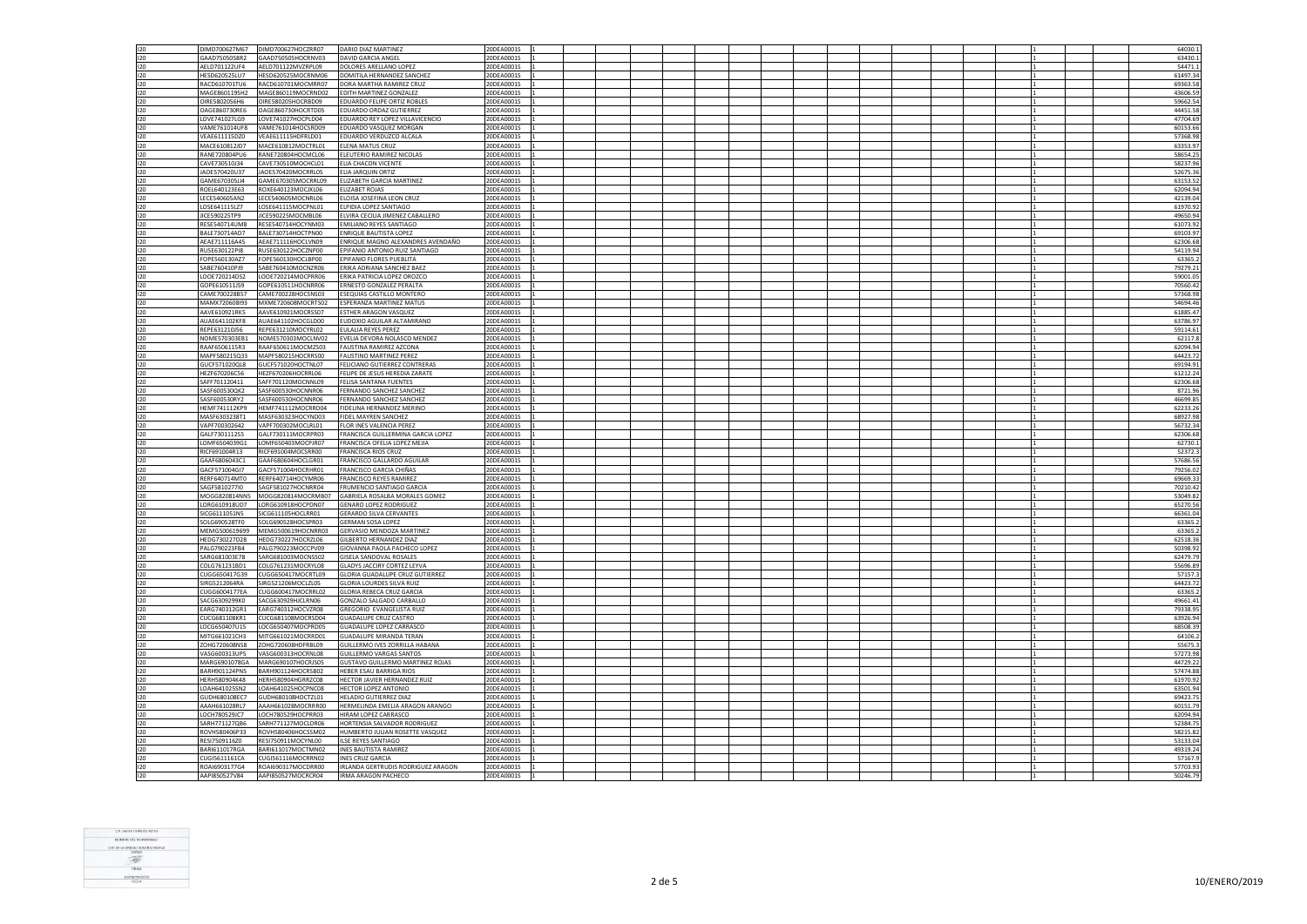| 120<br>DIMD700627M67<br>DIMD700627HOCZRR07                                               | <b>DARIO DIAZ MARTINEZ</b>                                | 20DEA0001S               |  |  |  |  |  |  |  |  | 64030.1              |
|------------------------------------------------------------------------------------------|-----------------------------------------------------------|--------------------------|--|--|--|--|--|--|--|--|----------------------|
|                                                                                          |                                                           |                          |  |  |  |  |  |  |  |  |                      |
| 120<br>GAAD7505058R2<br>GAAD750505HOCRNV03                                               | DAVID GARCIA ANGEL                                        | 20DEA0001S               |  |  |  |  |  |  |  |  | 63430.1              |
| 120<br>AELD701122UF4<br>AELD701122MVZRPL09                                               | DOLORES ARELLANO LOPEZ                                    | 20DEA0001S               |  |  |  |  |  |  |  |  | 54471.1              |
| 120<br>HESD620525LU7<br>HESD620525MOCRNM06                                               | DOMITILA HERNANDEZ SANCHEZ                                | 20DEA0001S               |  |  |  |  |  |  |  |  | 61497.3              |
|                                                                                          |                                                           |                          |  |  |  |  |  |  |  |  |                      |
| RACD610701TU6<br>RACD610701MOCMRR07<br>120                                               | DORA MARTHA RAMIREZ CRUZ                                  | 20DEA0001S               |  |  |  |  |  |  |  |  | 69363.58             |
| 120<br>MAGE860119SH2<br>MAGE860119MOCRND02                                               | EDITH MARTINEZ GONZALEZ                                   | 20DEA0001S               |  |  |  |  |  |  |  |  | 43606.59             |
| <b>OIRE5802056H6</b><br>OIRE580205HOCRBD09<br>120                                        | <b>EDUARDO FELIPE ORTIZ ROBLES</b>                        | 20DEA0001S               |  |  |  |  |  |  |  |  | 59662.54             |
|                                                                                          |                                                           |                          |  |  |  |  |  |  |  |  |                      |
| 120<br>DAGE860730RE6<br>OAGE860730HOCRTD05                                               | EDUARDO ORDAZ GUTIERREZ                                   | 20DEA0001S               |  |  |  |  |  |  |  |  | 44451.58             |
| 120<br>LOVE741027LG9<br>LOVE741027HOCPLD04                                               | EDUARDO REY LOPEZ VILLAVICENCIO                           | 20DEA0001S               |  |  |  |  |  |  |  |  | 47704.69             |
| 120<br>VAME761014UF8<br>VAME761014HOCSRD09                                               | EDUARDO VASQUEZ MORGAN                                    | 20DEA0001S               |  |  |  |  |  |  |  |  | 60153.66             |
|                                                                                          |                                                           |                          |  |  |  |  |  |  |  |  |                      |
| 120<br>VEAE611115DZ0<br>VEAE611115HDFRLD01                                               | EDUARDO VERDUZCO ALCALA                                   | 20DEA0001S               |  |  |  |  |  |  |  |  | 57368.98             |
| MACE610812MOCTRL01<br>120<br>MACE610812JD7                                               | <b>FIFNA MATUS CRUZ</b>                                   | 20DEA0001S               |  |  |  |  |  |  |  |  | 63353.97             |
| 120<br>RANE720804PU6<br>RANE720804HOCMCL06                                               | ELEUTERIO RAMIREZ NICOLAS                                 | 20DEA0001S               |  |  |  |  |  |  |  |  | 58654.2              |
|                                                                                          |                                                           |                          |  |  |  |  |  |  |  |  |                      |
| CAVE730510J34<br>CAVE730510MOCHCL01<br>120                                               | ELIA CHACON VICENTE                                       | 20DEA0001S               |  |  |  |  |  |  |  |  | 58237.96             |
| 120<br>JAOE570420U37<br>JAOE570420MOCRRL05                                               | ELIA JARQUIN ORTIZ                                        | 20DEA0001S               |  |  |  |  |  |  |  |  | 52675.36             |
| 120<br>GAME670305JJ4<br>GAME670305MOCRRL09                                               | ELIZABETH GARCIA MARTINEZ                                 |                          |  |  |  |  |  |  |  |  |                      |
|                                                                                          |                                                           | 20DEA0001S               |  |  |  |  |  |  |  |  | 63153.5              |
| 120<br>ROEL640123E63<br>ROXE640123MOCJXL06                                               | ELIZABET ROJAS                                            | 20DEA0001S               |  |  |  |  |  |  |  |  | 62094.94             |
| 120<br>LECE540605AN2<br>LECE540605MOCNRL06                                               | ELOISA JOSEFINA LEON CRUZ                                 | 20DEA0001S               |  |  |  |  |  |  |  |  | 42139.04             |
| LOSE641115MOCPNL01<br>120<br>LOSE641115LZ7                                               | ELPIDIA LOPEZ SANTIAGO                                    | 20DEA0001S               |  |  |  |  |  |  |  |  | 61970.92             |
|                                                                                          |                                                           |                          |  |  |  |  |  |  |  |  |                      |
| 120<br>JICE590225TP9<br>JICE590225MOCMBL06                                               | ELVIRA CECILIA JIMENEZ CABALLERO                          | 20DEA0001S               |  |  |  |  |  |  |  |  | 49650.94             |
| 120<br>RESE540714UM8<br>RESE540714HOCYNM03                                               | <b>EMILIANO REYES SANTIAGO</b>                            | 20DEA0001S               |  |  |  |  |  |  |  |  | 61073.9              |
| 120<br>BALE730714AD7<br>BALE730714HOCTPN00                                               | <b>ENRIQUE BAUTISTA LOPEZ</b>                             | 20DEA0001S               |  |  |  |  |  |  |  |  | 69103.97             |
|                                                                                          |                                                           |                          |  |  |  |  |  |  |  |  |                      |
| $120 -$<br>AFAF711116A45<br>AFAF711116HOCLVN09                                           | ENRIQUE MAGNO ALEXANDRES AVENDAÑO                         | 20DEA0001S               |  |  |  |  |  |  |  |  | 62306.68             |
| 120<br>RUSE630122PI8<br>RUSE630122HOCZNP00                                               | EPIFANIO ANTONIO RUIZ SANTIAGO                            | 20DEA0001S               |  |  |  |  |  |  |  |  | 54119.94             |
| EOPE560130A77<br>FOPE560130HOCLBP00<br>120                                               | <b>FPIFANIO FLORES PUFBLITA</b>                           | 20DEA0001S               |  |  |  |  |  |  |  |  | 63365.2              |
|                                                                                          |                                                           |                          |  |  |  |  |  |  |  |  |                      |
| 120<br>ABE760410PJ9<br>SABE760410MOCNZR06                                                | ERIKA ADRIANA SANCHEZ BAEZ                                | 20DEA0001S               |  |  |  |  |  |  |  |  | 79279.21             |
| 120<br>LOOE720214DS2<br>LOOE720214MOCPRR06                                               | ERIKA PATRICIA LOPEZ OROZCO                               | 20DEA0001S               |  |  |  |  |  |  |  |  | 59001.0              |
| GOPE610511J59<br>GOPE610511HOCNRR06<br>120                                               | ERNESTO GONZALEZ PERALTA                                  | 20DEA0001S               |  |  |  |  |  |  |  |  | 70560.42             |
|                                                                                          |                                                           |                          |  |  |  |  |  |  |  |  |                      |
| 120<br>CAME700228B57<br>CAME700228HOCSNS03                                               | ESEQUIAS CASTILLO MONTERO                                 | 20DEA0001S               |  |  |  |  |  |  |  |  | 57368.98             |
| 120<br>MAMX720608I93<br>MXME720608MOCRTS02                                               | ESPERANZA MARTINEZ MATUS                                  | 20DEA0001S               |  |  |  |  |  |  |  |  | 54694.46             |
|                                                                                          |                                                           |                          |  |  |  |  |  |  |  |  |                      |
| 120<br>AAVE610921RK5<br>AAVE610921MOCRSS07                                               | ESTHER ARAGON VASQUEZ                                     | 20DEA0001S               |  |  |  |  |  |  |  |  | 61885.47             |
| AUAE641102KF8<br>120<br>AUAE641102HOCGLD00                                               | EUDOXIO AGUILAR ALTAMIRANO                                | 20DEA0001S               |  |  |  |  |  |  |  |  | 63786.97             |
| REPE631210J56<br>REPE631210MOCYRL02<br>120                                               | EULALIA REYES PEREZ                                       | 20DEA0001S               |  |  |  |  |  |  |  |  | 59114.61             |
|                                                                                          |                                                           |                          |  |  |  |  |  |  |  |  |                      |
| 120<br>NOME570303EB1<br>NOME570303MOCLNV02                                               | EVELIA DEVORA NOLASCO MENDEZ                              | 20DEA0001S               |  |  |  |  |  |  |  |  | 62117.8              |
| 120<br>RAAF6506115R3<br>RAAF650611MOCMZS03                                               | FAUSTINA RAMIREZ AZCONA                                   | 20DEA0001S               |  |  |  |  |  |  |  |  | 62094.94             |
| 120<br>MAPF580215Q33<br>MAPF580215HOCRRS00                                               | <b>FAUSTINO MARTINEZ PEREZ</b>                            | 20DEA0001S               |  |  |  |  |  |  |  |  | 64423.7              |
|                                                                                          |                                                           |                          |  |  |  |  |  |  |  |  |                      |
| 120<br>GUCF571020QL8<br>GUCF571020HOCTNL07                                               | FELICIANO GUTIERREZ CONTRERAS                             | 20DEA0001S               |  |  |  |  |  |  |  |  | 69194.9              |
| 120<br>HEZF670206C56<br>HEZF670206HOCRRL06                                               | FELIPE DE JESUS HEREDIA ZARATE                            | 20DEA0001S               |  |  |  |  |  |  |  |  | 61212.2              |
| 120<br>SAFF701120411<br>SAFF701120MOCNNL09                                               | FELISA SANTANA FUENTES                                    | 20DEA0001S               |  |  |  |  |  |  |  |  | 62306.68             |
|                                                                                          |                                                           |                          |  |  |  |  |  |  |  |  |                      |
| 120<br>SASF600530QK2<br>SASF600530HOCNNR06                                               | FERNANDO SANCHEZ SANCHEZ                                  | 20DEA0001S               |  |  |  |  |  |  |  |  | 8721.9               |
| 120<br>SASF600530RY2<br>SASF600530HOCNNR06                                               | FERNANDO SANCHEZ SANCHEZ                                  | 20DEA0001S               |  |  |  |  |  |  |  |  | 46699.8              |
| 120<br><b>HEMF741112KP9</b><br>HEMF741112MOCRRD04                                        | FIDELINA HERNANDEZ MERINO                                 | 20DEA0001S               |  |  |  |  |  |  |  |  | 62233.26             |
|                                                                                          |                                                           |                          |  |  |  |  |  |  |  |  |                      |
| MASF6303238T1<br>MASF630323HOCYND03<br>120                                               | FIDEL MAYREN SANCHEZ                                      | 20DEA0001S               |  |  |  |  |  |  |  |  | 68927.98             |
| 120<br>/APF700302642<br>VAPF700302MOCLRL01                                               | FLOR INES VALENCIA PEREZ                                  | 20DEA0001S               |  |  |  |  |  |  |  |  | 56732.34             |
| 120<br>GALF7301112S5<br>GALF730111MOCRPR03                                               | FRANCISCA GUILLERMINA GARCIA LOPEZ                        | 20DEA0001S               |  |  |  |  |  |  |  |  | 62306.68             |
|                                                                                          |                                                           |                          |  |  |  |  |  |  |  |  |                      |
| LOMF6504039G1<br>LOMF650403MOCPJR07<br>120                                               | FRANCISCA OFELIA LOPEZ MEJIA                              | 20DEA0001S               |  |  |  |  |  |  |  |  | 62730.1              |
| 120<br>RICF691004R13<br>RICF691004MOCSRR00                                               | FRANCISCA RIOS CRUZ                                       | 20DEA0001S               |  |  |  |  |  |  |  |  | 52372.               |
| GAAF6806043C1<br>GAAF680604HOCLGR01<br>120                                               | FRANCISCO GALLARDO AGUILAR                                | 20DEA0001S               |  |  |  |  |  |  |  |  | 57686.5              |
|                                                                                          |                                                           |                          |  |  |  |  |  |  |  |  |                      |
| GACF571004GI7<br>GACF571004HOCRHR01<br>120                                               | FRANCISCO GARCIA CHIÑAS                                   | 20DEA0001S               |  |  |  |  |  |  |  |  | 79256.02             |
| RERE640714HOCYMR06<br>$120 -$<br>RERE640714MT0                                           | <b>FRANCISCO REYES RAMIREZ</b>                            | 20DEA0001S               |  |  |  |  |  |  |  |  | 69669.33             |
| SAGF5810277I0<br>SAGF581027HOCNRR04<br>120                                               | FRUMENCIO SANTIAGO GARCIA                                 | 20DEA0001S               |  |  |  |  |  |  |  |  | 70210.42             |
|                                                                                          |                                                           |                          |  |  |  |  |  |  |  |  |                      |
| 120<br>MOGG820814NN5<br>MOGG820814MOCRMB07                                               | GABRIELA ROSALBA MORALES GOMEZ                            | 20DEA0001S               |  |  |  |  |  |  |  |  | 53049.82             |
| LORG610918HOCPDN07<br>120<br>ORG610918UD7                                                | <b>GENARO LOPEZ RODRIGUEZ</b>                             | 20DEA0001S               |  |  |  |  |  |  |  |  | 65270.56             |
|                                                                                          |                                                           |                          |  |  |  |  |  |  |  |  |                      |
| 120<br>SICG6111051N5<br>SICG611105HOCLRR01                                               | <b>GERARDO SILVA CERVANTES</b>                            | 20DEA0001S               |  |  |  |  |  |  |  |  | 66361.0              |
| 120<br>SOLG690528HOCSPR03<br>SOLG690528TF0                                               | GERMAN SOSA LOPEZ                                         | 20DEA0001S               |  |  |  |  |  |  |  |  | 63365.2              |
| 120<br>MEMG500619699<br>MEMG500619HOCNRR03                                               | GERVASIO MENDOZA MARTINEZ                                 | 20DEA0001S               |  |  |  |  |  |  |  |  | 63365.2              |
| 120<br>HEDG730227HOCRZL06<br>HFDG730227D28                                               | GILBERTO HERNANDEZ DIAZ                                   | 20DEA0001S               |  |  |  |  |  |  |  |  | 62518.3              |
|                                                                                          |                                                           |                          |  |  |  |  |  |  |  |  |                      |
| 120<br>PALG790223FB4<br>PALG790223MOCCPV09                                               | GIOVANNA PAOLA PACHECO LOPEZ                              | 20DEA0001S               |  |  |  |  |  |  |  |  | 50398.92             |
| 120<br>SARG681003E78<br>SARG681003MOCNSS02                                               | <b>GISELA SANDOVAL ROSALES</b>                            | 20DEA0001S               |  |  |  |  |  |  |  |  | 62479.79             |
| 120<br>COLG761231BD1<br>COLG761231MOCRYL08                                               | GLADYS JACCIRY CORTEZ LEYVA                               | 20DEA0001S               |  |  |  |  |  |  |  |  | 55696.89             |
|                                                                                          |                                                           |                          |  |  |  |  |  |  |  |  |                      |
| 120<br>CUGG650417G39<br>CUGG650417MOCRTL09                                               | GLORIA GUADALUPE CRUZ GUTIERREZ                           | 20DEA0001S               |  |  |  |  |  |  |  |  | 57157.3              |
| <b>IRG5212064RA</b><br>SIRG521206MOCLZL05<br>120                                         | <b>GLORIA LOURDES SILVA RUIZ</b>                          | 20DEA0001S               |  |  |  |  |  |  |  |  | 64423.72             |
|                                                                                          |                                                           |                          |  |  |  |  |  |  |  |  |                      |
| 120<br>CUGG6004177EA<br>CUGG600417MOCRRL02                                               | <b>GLORIA REBECA CRUZ GARCIA</b>                          | 20DEA0001S               |  |  |  |  |  |  |  |  | 63365.               |
| SACG630929HJCLRN06<br>120<br>SACG6309299K0                                               | GONZALO SALGADO CARBALLO                                  | 20DEA0001S               |  |  |  |  |  |  |  |  | 49661.4              |
| EARG740312GR1<br>120<br>EARG740312HOCVZR08                                               | GREGORIO EVANGELISTA RUIZ                                 | 20DEA0001S               |  |  |  |  |  |  |  |  | 79338.95             |
| CUCG681108KR1<br>120<br>CUCG681108MOCRSD04                                               | <b>GUADALUPE CRUZ CASTRO</b>                              | 20DEA0001S               |  |  |  |  |  |  |  |  | 63926.94             |
|                                                                                          |                                                           |                          |  |  |  |  |  |  |  |  |                      |
| 120<br>LOCG650407U15<br>LOCG650407MOCPRD05                                               | GUADALUPE LOPEZ CARRASCO                                  | 20DEA0001S               |  |  |  |  |  |  |  |  | 68508.39             |
| 120<br>MITG661021CH3<br>MITG661021MOCRRD01                                               | <b>GUADALUPE MIRANDA TERAN</b>                            | 20DEA0001S               |  |  |  |  |  |  |  |  | 64106.               |
|                                                                                          |                                                           |                          |  |  |  |  |  |  |  |  |                      |
| 120<br>ZOHG720608NS8<br>ZOHG720608HDFRBL09                                               | GUILLERMO IVES ZORRILLA HABANA                            | 20DEA0001S               |  |  |  |  |  |  |  |  | 55675.3              |
| 120<br>VASG600313UP5<br>VASG600313HOCRNL08                                               | <b>GUILLERMO VARGAS SANTOS</b>                            | 20DEA0001S               |  |  |  |  |  |  |  |  | 57273.98             |
| 120<br>MARG6901078GA<br>MARG690107HOCRJS05                                               | GUSTAVO GUILLERMO MARTINEZ ROJAS                          | 20DEA0001S               |  |  |  |  |  |  |  |  | 44729.2              |
|                                                                                          |                                                           |                          |  |  |  |  |  |  |  |  |                      |
| 120<br>BARH901124PN5<br>BARH901124HOCRSB02                                               | HEBER ESAU BARRIGA RIOS                                   | 20DEA0001S               |  |  |  |  |  |  |  |  | 57474.88             |
| HERH580904HGRRZC08<br>120<br>HFRH580904K48                                               | HECTOR JAVIER HERNANDEZ RUIZ                              | 20DEA0001S               |  |  |  |  |  |  |  |  | 61970.92             |
| 120<br>LOAH641025SN2<br>LOAH641025HOCPNC08                                               | HECTOR LOPEZ ANTONIO                                      | 20DEA0001S               |  |  |  |  |  |  |  |  | 63501.94             |
|                                                                                          |                                                           |                          |  |  |  |  |  |  |  |  |                      |
| 120<br>GUDH680108EC7<br>GUDH680108HOCTZL01                                               | HELADIO GUTIERREZ DIAZ                                    | 20DEA0001S               |  |  |  |  |  |  |  |  | 69423.7              |
| 120<br>AAAH661028RL7<br>AAAH661028MOCRRR00                                               | HERMELINDA EMELIA ARAGON ARANGO                           | 20DEA0001S               |  |  |  |  |  |  |  |  | 60151.79             |
| 120<br>LOCH780529JC7<br>LOCH780529HOCPRR03                                               | HIRAM LOPEZ CARRASCO                                      | 20DEA0001S               |  |  |  |  |  |  |  |  | 62094.9              |
|                                                                                          |                                                           |                          |  |  |  |  |  |  |  |  |                      |
| SARH771127QB6<br>120<br>SARH771127MOCLDR06                                               | HORTENSIA SALVADOR RODRIGUEZ                              | 20DEA0001S               |  |  |  |  |  |  |  |  | 52384.75             |
| 120<br>ROVH580406P33<br>ROVH580406HOCSSM02                                               | HUMBERTO JULIAN ROSETTE VASQUEZ                           | 20DEA0001S               |  |  |  |  |  |  |  |  | 58215.82             |
| RESI7509116Z0<br>RESI750911MOCYNL00<br>120                                               | ILSE REYES SANTIAGO                                       | 20DEA0001S               |  |  |  |  |  |  |  |  | 53133.04             |
|                                                                                          |                                                           |                          |  |  |  |  |  |  |  |  |                      |
| 120<br>BARI611017RGA<br>BARI611017MOCTMN02                                               | INES BAUTISTA RAMIREZ                                     | 20DEA0001S               |  |  |  |  |  |  |  |  | 49319.24             |
| CUGI561116MOCRRN02<br>120<br>CUGI5611161CA                                               |                                                           | 20DEA0001S               |  |  |  |  |  |  |  |  | 57167.9              |
|                                                                                          | <b>INES CRUZ GARCIA</b>                                   |                          |  |  |  |  |  |  |  |  |                      |
|                                                                                          |                                                           |                          |  |  |  |  |  |  |  |  |                      |
| ROAI690317MOCDRR00<br>120<br>ROAI6903177G4<br>AAPI850527V84<br>AAPI850527MOCRCR04<br>120 | IRLANDA GERTRUDIS RODRIGUEZ ARAGON<br>IRMA ARAGON PACHECO | 20DEA0001S<br>20DEA0001S |  |  |  |  |  |  |  |  | 57703.93<br>50246.79 |

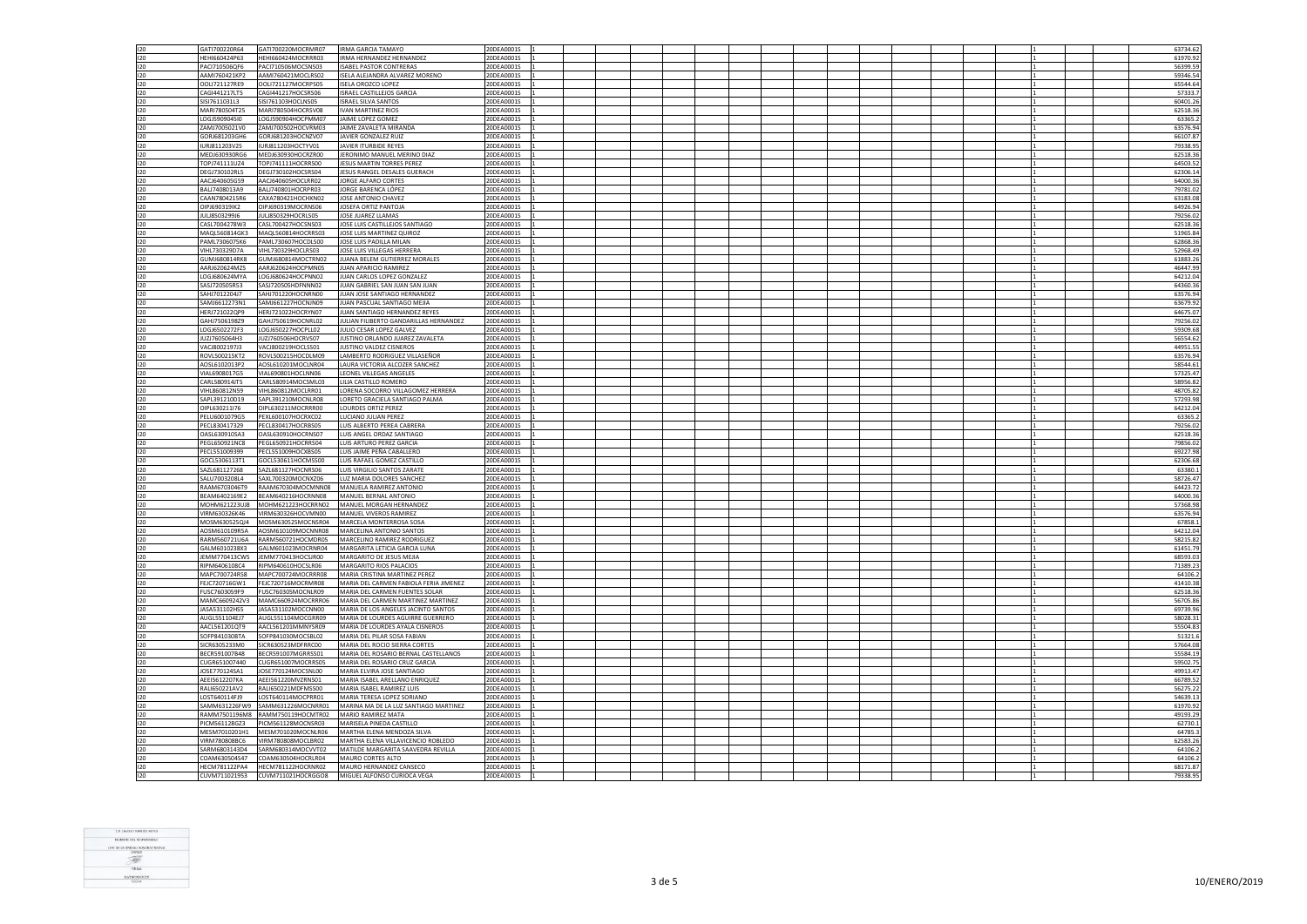| 120     | GATI700220R64  |                                          |                                            | 20DEA0001S |  |  |  |  |  |  |   |          |
|---------|----------------|------------------------------------------|--------------------------------------------|------------|--|--|--|--|--|--|---|----------|
|         |                | GATI700220MOCRMR07                       | <b>IRMA GARCIA TAMAYO</b>                  |            |  |  |  |  |  |  |   | 63734.62 |
| 120     | HEHI660424P63  | HEHI660424MOCRRR03                       | IRMA HERNANDEZ HERNANDEZ                   | 20DEA0001S |  |  |  |  |  |  |   | 61970.92 |
| $120 -$ | PAC1710506OF6  | PACI710506MOCSNS03                       | <b>ISAREL PASTOR CONTRERAS</b>             | 20DEA0001S |  |  |  |  |  |  | 1 | 56399.59 |
|         |                |                                          |                                            |            |  |  |  |  |  |  |   |          |
| 120     | AAMI760421KP2  | AAMI760421MOCLRS02                       | ISELA ALEJANDRA ALVAREZ MORENO             | 20DEA0001S |  |  |  |  |  |  |   | 59346.54 |
| 120     | OOLI721127RE9  | OOLI721127MOCRPS05                       | <b>ISELA OROZCO LOPEZ</b>                  | 20DEA0001S |  |  |  |  |  |  |   | 65544.64 |
| 120     | CAG1441217LT5  | CAGI441217HOCSRS06                       | <b>ISRAEL CASTILLEJOS GARCIA</b>           | 20DEA0001S |  |  |  |  |  |  |   | 57333.7  |
|         |                |                                          |                                            |            |  |  |  |  |  |  |   |          |
| 120     | SISI7611031L3  | SISI761103HOCLNS05                       | <b>ISRAEL SILVA SANTOS</b>                 | 20DEA0001S |  |  |  |  |  |  |   | 60401.26 |
| 120     | MARI780504T25  | MARI780504HOCRSV08                       | <b>IVAN MARTINEZ RIOS</b>                  | 20DEA0001S |  |  |  |  |  |  |   | 62518.3  |
| 120     | LOGJ5909045I0  | LOGJ590904HOCPMM07                       | JAIME LOPEZ GOMEZ                          | 20DEA0001S |  |  |  |  |  |  |   | 63365.   |
|         | ZAMJ7005021V0  | ZAMJ700502HOCVRM03                       | JAIME ZAVALETA MIRANDA                     |            |  |  |  |  |  |  |   | 63576.94 |
| 120     |                |                                          |                                            | 20DEA0001S |  |  |  |  |  |  |   |          |
| 120     | GORJ681203GH6  | GORJ681203HOCNZV07                       | JAVIER GONZALEZ RUIZ                       | 20DEA0001S |  |  |  |  |  |  |   | 66107.87 |
| 120     | IURJ811203V25  | IURJ811203HOCTYV01                       | JAVIER ITURBIDE REYES                      | 20DEA0001S |  |  |  |  |  |  |   | 79338.9  |
|         |                |                                          |                                            |            |  |  |  |  |  |  |   |          |
| 120     | MEDJ630930RG6  | MEDJ630930HOCRZR00                       | JERONIMO MANUEL MERINO DIAZ                | 20DEA0001S |  |  |  |  |  |  |   | 62518.36 |
| 120     | TOPJ741111UZ4  | TOPJ741111HOCRRS00                       | JESUS MARTIN TORRES PEREZ                  | 20DEA0001S |  |  |  |  |  |  |   | 64503.5  |
| 120     | DEGJ730102RL5  | DEGJ730102HOCSRS04                       | JESUS RANGEL DESALES GUERACH               | 20DEA0001S |  |  |  |  |  |  |   | 62306.14 |
|         |                |                                          |                                            |            |  |  |  |  |  |  |   |          |
| 120     | AACJ640605G59  | AACJ640605HOCLRR02                       | JORGE ALFARO CORTES                        | 20DEA0001S |  |  |  |  |  |  |   | 64000.36 |
| 120     | BALJ7408013A9  | BALJ740801HOCRPR03                       | JORGE BARENCA LÓPEZ                        | 20DEA0001S |  |  |  |  |  |  |   | 79781.02 |
| 120     | CAAN7804215R6  | CAXA780421HOCHXN02                       | JOSE ANTONIO CHAVEZ                        | 20DEA0001S |  |  |  |  |  |  |   | 63183.0  |
|         |                |                                          |                                            |            |  |  |  |  |  |  |   |          |
| 120     | CIP16903191K2  | OIPI690319MOCRNS06                       | <b>IOSEFA ORTIZ PANTOIA</b>                | 20DEA0001S |  |  |  |  |  |  |   | 64926.94 |
| 120     | JULJ8503299J6  | JULJ850329HOCRLS05                       | JOSE JUAREZ LLAMAS                         | 20DEA0001S |  |  |  |  |  |  |   | 79256.02 |
| 120     | CASI 7004278W3 | CASL700427HOCSNS03                       | JOSE LUIS CASTILLEJOS SANTIAGO             | 20DEA0001S |  |  |  |  |  |  |   | 62518.36 |
|         |                |                                          |                                            |            |  |  |  |  |  |  |   |          |
| 120     | MAQL560814GK3  | MAQL560814HOCRRS03                       | JOSE LUIS MARTINEZ QUIROZ                  | 20DEA0001S |  |  |  |  |  |  |   | 51965.84 |
| 120     | PAML7306075K6  | PAML730607HOCDLS00                       | JOSE LUIS PADILLA MILAN                    | 20DEA0001S |  |  |  |  |  |  |   | 62868.3  |
|         |                |                                          |                                            |            |  |  |  |  |  |  |   |          |
| 120     | VIHL730329D7A  | VIHL730329HOCLRS03                       | JOSE LUIS VILLEGAS HERRERA                 | 20DEA0001S |  |  |  |  |  |  |   | 52968.49 |
| 120     | GUMJ680814RK8  | GUMJ680814MOCTRN02                       | JUANA BELEM GUTIERREZ MORALES              | 20DEA0001S |  |  |  |  |  |  |   | 61883.26 |
| 120     | AARJ620624MZ5  | AARJ620624HOCPMN05                       | JUAN APARICIO RAMIREZ                      | 20DEA0001S |  |  |  |  |  |  |   | 46447.99 |
|         |                |                                          |                                            |            |  |  |  |  |  |  |   |          |
| 120     | LOGJ680624MYA  | LOGJ680624HOCPNN02                       | JUAN CARLOS LOPEZ GONZALEZ                 | 20DEA0001S |  |  |  |  |  |  |   | 64212.04 |
| 120     | SASJ720505R53  | SASJ720505HDFNNN02                       | JUAN GABRIEL SAN JUAN SAN JUAN             | 20DEA0001S |  |  |  |  |  |  |   | 64360.36 |
| 120     | SAHJ7012204J7  | SAHJ701220HOCNRN00                       | JUAN JOSE SANTIAGO HERNANDEZ               | 20DEA0001S |  |  |  |  |  |  |   | 63576.94 |
|         |                |                                          |                                            |            |  |  |  |  |  |  |   |          |
| 120     | SAMJ6612273N1  | SAMJ661227HOCNJN09                       | JUAN PASCUAL SANTIAGO MEJIA                | 20DEA0001S |  |  |  |  |  |  |   | 63679.92 |
| 120     | HERJ721022OP9  | HERJ721022HOCRYN07                       | JUAN SANTIAGO HERNANDEZ REYES              | 20DEA0001S |  |  |  |  |  |  |   | 64675.07 |
|         |                |                                          |                                            |            |  |  |  |  |  |  |   |          |
| 120     | GAHJ7506198Z9  | GAHJ750619HOCNRL02                       | JULIAN FILIBERTO GANDARILLAS HERNANDEZ     | 20DEA0001S |  |  |  |  |  |  |   | 79256.0  |
| 120     | LOGJ6502272F3  | LOGJ650227HOCPLL02                       | JULIO CESAR LOPEZ GALVEZ                   | 20DEA0001S |  |  |  |  |  |  |   | 59309.68 |
| 120     | JUZJ7605064H3  | JUZJ760506HOCRVS07                       | JUSTINO ORLANDO JUAREZ ZAVALETA            | 20DEA0001S |  |  |  |  |  |  |   | 56554.62 |
| 120     | VACJ8002197J3  | VACJ800219HOCLSS01                       | JUSTINO VALDEZ CISNEROS                    | 20DEA0001S |  |  |  |  |  |  |   |          |
|         |                |                                          |                                            |            |  |  |  |  |  |  |   | 44951.5  |
| 120     | ROVL500215KT2  | ROVL500215HOCDLM09                       | LAMBERTO RODRIGUEZ VILLASEÑOR              | 20DEA0001S |  |  |  |  |  |  |   | 63576.9  |
| 120     | AOSL6102013P2  | AOSL610201MOCLNR04                       | LAURA VICTORIA ALCOZER SANCHEZ             | 20DEA0001S |  |  |  |  |  |  |   | 58544.61 |
| 120     | VIAL6908017G5  | VIAL690801HOCLNN06                       | LEONEL VILLEGAS ANGELES                    | 20DEA0001S |  |  |  |  |  |  |   | 57325.47 |
|         |                |                                          |                                            |            |  |  |  |  |  |  |   |          |
| 120     | CARL580914JT5  | CARL580914MOCSML03                       | <b>ULLA CASTILLO ROMERO</b>                | 20DEA0001S |  |  |  |  |  |  |   | 58956.8  |
| 120     | VIHL860812N59  | VIHL860812MOCLRR01                       | LORENA SOCORRO VILLAGOMEZ HERRERA          | 20DEA0001S |  |  |  |  |  |  |   | 48705.82 |
| 120     |                | SAPL391210MOCNLR08                       | LORETO GRACIELA SANTIAGO PALMA             | 20DEA0001S |  |  |  |  |  |  |   | 57293.9  |
|         | SAPL391210D19  |                                          |                                            |            |  |  |  |  |  |  |   |          |
| 120     | OIPL630211I76  | OIPL630211MOCRRR00                       | LOURDES ORTIZ PEREZ                        | 20DEA0001S |  |  |  |  |  |  |   | 64212.04 |
| 120     | PELU6001079G5  | PEXL600107HOCRXC02                       | LUCIANO JULIAN PEREZ                       | 20DEA0001S |  |  |  |  |  |  |   | 63365.2  |
| 120     | PECL830417329  | PECL830417HOCRBS05                       | LUIS ALBERTO PEREA CABRERA                 | 20DEA0001S |  |  |  |  |  |  |   | 79256.02 |
|         |                |                                          |                                            |            |  |  |  |  |  |  |   |          |
| 120     | OASL630910SA3  | OASL630910HOCRNS07                       | LUIS ANGEL ORDAZ SANTIAGO                  | 20DEA0001S |  |  |  |  |  |  |   | 62518.36 |
| 120     | PEGL650921NC8  | PEGL650921HOCRRS04                       | LUIS ARTURO PEREZ GARCIA                   | 20DEA0001S |  |  |  |  |  |  |   | 79856.0  |
| 120     | PECL551009399  | PECL551009HOCXBS05                       | LUIS JAIME PEÑA CABALLERO                  | 20DEA0001S |  |  |  |  |  |  |   | 69227.98 |
|         |                |                                          |                                            |            |  |  |  |  |  |  |   |          |
| $120 -$ | GOCL5306113T1  | GOCL530611HOCMSS00                       | <b>LUIS RAFAEL GOMEZ CASTILLO</b>          | 20DEA0001S |  |  |  |  |  |  |   | 62306.68 |
| 120     | SAZL681127268  | SAZL681127HOCNRS06                       | LUIS VIRGILIO SANTOS ZARATE                | 20DEA0001S |  |  |  |  |  |  |   | 63380.   |
| 120     | SALU7003208L4  | SAXL700320MOCNXZ06                       | LUZ MARIA DOLORES SANCHEZ                  | 20DEA0001S |  |  |  |  |  |  |   | 58726.43 |
|         |                |                                          |                                            |            |  |  |  |  |  |  |   |          |
| 120     | RAAM6703046T9  |                                          | RAAM670304MOCMNN08 MANUELA RAMIREZ ANTONIO | 20DEA0001S |  |  |  |  |  |  |   | 64423.72 |
| 120     | BEAM6402169E2  | BEAM640216HOCRNN08                       |                                            |            |  |  |  |  |  |  |   |          |
|         |                |                                          |                                            |            |  |  |  |  |  |  |   |          |
| 120     | MOHM621223UJ8  |                                          | MANUEL BERNAL ANTONIO                      | 20DEA0001S |  |  |  |  |  |  |   | 64000.36 |
| 120     |                | MOHM621223HOCRRN02                       | MANUEL MORGAN HERNANDEZ                    | 20DEA0001S |  |  |  |  |  |  |   | 57368.9  |
|         | VIRM630326K46  | VIRM630326HOCVMN00                       | MANUEL VIVEROS RAMIREZ                     | 20DEA0001S |  |  |  |  |  |  |   | 63576.9  |
|         |                |                                          | MARCELA MONTERROSA SOSA                    |            |  |  |  |  |  |  |   |          |
| 120     |                | MOSM630525QJ4 MOSM630525MOCNSR04         |                                            | 20DEA0001S |  |  |  |  |  |  |   | 67858.   |
| 120     | AOSM610109R5A  | AOSM610109MOCNNR08                       | MARCELINA ANTONIO SANTOS                   | 20DEA0001S |  |  |  |  |  |  |   | 64212.04 |
| 120     | RARM560721U6A  | RARM560721HOCMDR05                       | MARCELINO RAMIREZ RODRIGUEZ                | 20DEA0001S |  |  |  |  |  |  |   | 58215.82 |
|         |                |                                          |                                            |            |  |  |  |  |  |  |   |          |
| 120     | GALM6010238X3  | GALM601023MOCRNR04                       | MARGARITA LETICIA GARCIA LUNA              | 20DEA0001S |  |  |  |  |  |  |   | 61451.79 |
| 120     | JEMM770413CW5  | JEMM770413HOCSJR00                       | MARGARITO DE JESUS MEJIA                   | 20DEA0001S |  |  |  |  |  |  |   | 68593.0  |
| 120     | RIPM6406108C4  | RIPM640610HOCSLR06                       | MARGARITO RIOS PALACIOS                    | 20DEA0001S |  |  |  |  |  |  |   | 71389.23 |
|         |                |                                          |                                            |            |  |  |  |  |  |  |   |          |
| 120     | MAPC700724R58  | MAPC700724MOCRRR08                       | MARIA CRISTINA MARTINEZ PEREZ              | 20DEA0001S |  |  |  |  |  |  |   | 64106.2  |
| 120     | FEJC720716GW1  | FEJC720716MOCRMR08                       | MARIA DEL CARMEN FABIOLA FERIA JIMENEZ     | 20DEA0001S |  |  |  |  |  |  |   | 41410.3  |
| 120     | FUSC7603059F9  | FUSC760305MOCNLR09                       | MARIA DEL CARMEN FUENTES SOLAR             | 20DEA0001S |  |  |  |  |  |  |   | 62518.36 |
|         |                |                                          |                                            |            |  |  |  |  |  |  |   |          |
| 120     | MAMC6609242V3  | MAMC660924MOCRRR06                       | MARIA DEL CARMEN MARTINEZ MARTINEZ         | 20DEA0001S |  |  |  |  |  |  |   | 56705.86 |
| 120     | JASA531102HS5  | JASA531102MOCCNN00                       | MARIA DE LOS ANGELES JACINTO SANTOS        | 20DEA0001S |  |  |  |  |  |  |   | 69739.96 |
| 120     | AUGI 551104F17 | AUGI 551104MOCGRR09                      | MARIA DE LOURDES AGUIRRE GUERRERO          | 20DEA0001S |  |  |  |  |  |  |   | 58028.31 |
|         |                |                                          |                                            |            |  |  |  |  |  |  |   |          |
| 120     | AACL561201OT9  | AACL561201MMNYSR09                       | MARIA DE LOURDES AYALA CISNEROS            | 20DEA0001S |  |  |  |  |  |  |   | 55504.83 |
| 120     | SOFP841030BTA  | SOFP841030MOCSBL02                       | MARIA DEL PILAR SOSA FABIAN                | 20DEA0001S |  |  |  |  |  |  |   | 51321.6  |
|         |                |                                          | MARIA DEL ROCIO SIERRA CORTES              | 20DEA0001S |  |  |  |  |  |  |   |          |
| 120     | SICR6305233M0  | SICR630523MDFRRC00                       |                                            |            |  |  |  |  |  |  |   | 57664.08 |
| 120     | BECR591007B48  | BECR591007MGRRSS01                       | MARIA DEL ROSARIO BERNAL CASTELLANOS       | 20DEA0001S |  |  |  |  |  |  |   | 55584.19 |
| 120     | CUGR651007440  | CUGR651007MOCRRS05                       | MARIA DEL ROSARIO CRUZ GARCIA              | 20DEA0001S |  |  |  |  |  |  |   | 59502.7  |
|         |                |                                          |                                            |            |  |  |  |  |  |  |   |          |
| 120     | JOSE770124SA1  | JOSE770124MOCSNL00                       | MARIA ELVIRA JOSE SANTIAGO                 | 20DEA0001S |  |  |  |  |  |  |   | 49913.47 |
| 120     | AEEI5612207KA  | AEEI561220MVZRNS01                       | MARIA ISABEL ARELLANO ENRIQUEZ             | 20DEA0001S |  |  |  |  |  |  |   | 66789.52 |
| 120     | RALI650221AV2  | RALI650221MDFMSS00                       | MARIA ISABEL RAMIREZ LUIS                  | 20DEA0001S |  |  |  |  |  |  |   | 56275.22 |
|         |                |                                          |                                            |            |  |  |  |  |  |  |   |          |
| 120     | LOST640114FJ9  | LOST640114MOCPRR01                       | MARIA TERESA LOPEZ SORIANO                 | 20DEA0001S |  |  |  |  |  |  |   | 54639.1  |
| 120     | SAMM631226FW9  | SAMM631226MOCNRR01                       | MARINA MA DE LA LUZ SANTIAGO MARTINEZ      | 20DEA0001S |  |  |  |  |  |  |   | 61970.92 |
|         |                |                                          | MARIO RAMIREZ MATA                         |            |  |  |  |  |  |  |   |          |
| 120     |                | RAMM7501196M8 RAMM750119HOCMTR02         |                                            | 20DEA0001S |  |  |  |  |  |  |   | 49193.29 |
| 120     | PICM561128GZ3  | PICM561128MOCNSR03                       | MARISELA PINEDA CASTILLO                   | 20DEA0001S |  |  |  |  |  |  |   | 62730.1  |
| 120     | MESM7010201H1  | MESM701020MOCNLR06                       | MARTHA ELENA MENDOZA SILVA                 | 20DEA0001S |  |  |  |  |  |  |   | 64785.3  |
| 120     | VIRM780808BC6  | VIRM780808MOCLBR02                       | MARTHA ELENA VILLAVICENCIO ROBLEDO         | 20DEA0001S |  |  |  |  |  |  |   | 62583.26 |
|         |                |                                          |                                            |            |  |  |  |  |  |  |   |          |
| 120     | SARM6803143D4  | SARM680314MOCVVT02                       | MATILDE MARGARITA SAAVEDRA REVILLA         | 20DEA0001S |  |  |  |  |  |  |   | 64106.2  |
| 120     | COAM630504S47  | COAM630504HOCRLR04                       | MAURO CORTES ALTO                          | 20DEA0001S |  |  |  |  |  |  |   | 64106.2  |
| 120     | HECM781122PA4  | HECM781122HOCRNR02<br>CUVM711021HOCRGGO8 | MAURO HERNANDEZ CANSECO                    | 20DEA0001S |  |  |  |  |  |  |   | 68171.87 |

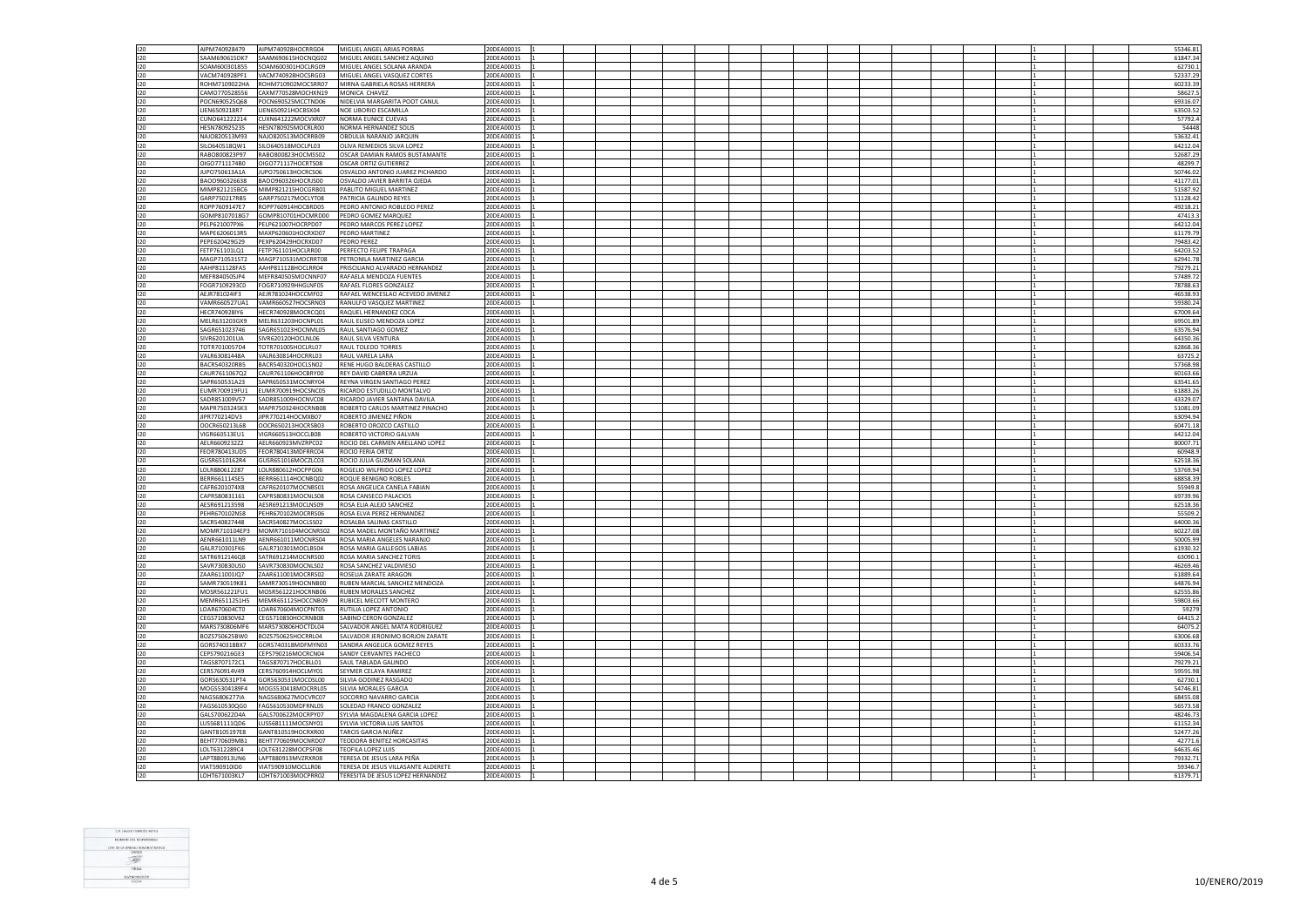|         | AIPM740928479        | AIPM740928HOCRRG04               | MIGUEL ANGEL ARIAS PORRAS           | 20DEA0001S |  |  |  |  |  | 55346.81 |
|---------|----------------------|----------------------------------|-------------------------------------|------------|--|--|--|--|--|----------|
| 120     |                      |                                  |                                     |            |  |  |  |  |  |          |
| 120     | SAAM690615DK7        | SAAM690615HOCNOG02               | MIGUEL ANGEL SANCHEZ AQUINO         | 20DEA0001S |  |  |  |  |  | 61847.34 |
| $120 -$ | SOAM600301855        | SOAM600301HOCLBG09               | MIGUEL ANGEL SOLANA ARANDA          | 20DEA0001S |  |  |  |  |  | 62730.1  |
| 120     | VACM740928PF1        |                                  |                                     | 20DEA0001S |  |  |  |  |  | 52337.29 |
|         |                      | VACM740928HOCSRG03               | MIGUEL ANGEL VASQUEZ CORTES         |            |  |  |  |  |  |          |
| 120     | ROHM7109022HA        | ROHM710902MOCSRR07               | MIRNA GABRIELA ROSAS HERRERA        | 20DEA0001S |  |  |  |  |  | 60233.39 |
| 120     | CAMO770528556        | CAXM770528MOCHXN19               | MONICA CHAVEZ                       | 20DEA0001S |  |  |  |  |  | 58627.   |
| 120     | POCN690525Q68        | POCN690525MCCTND06               | NIDELVIA MARGARITA POOT CANUL       | 20DEA0001S |  |  |  |  |  | 69316.07 |
|         |                      |                                  |                                     |            |  |  |  |  |  |          |
| 120     | LIEN6509218R7        | LIEN650921HOCBSX04               | NOE LIBORIO ESCAMILLA               | 20DEA0001S |  |  |  |  |  | 63503.52 |
| 120     | CUNO641222214        | CUXN641222MOCVXR07               | NORMA EUNICE CUEVAS                 | 20DEA0001S |  |  |  |  |  | 57792.4  |
| 120     | HESN780925235        | HESN780925MOCRLR00               | NORMA HERNANDEZ SOLIS               | 20DEA0001S |  |  |  |  |  | 54448    |
|         |                      |                                  |                                     |            |  |  |  |  |  |          |
| 120     | NAJO820513M93        | NAJO820513MOCRRB09               | OBDULIA NARANJO JARQUIN             | 20DEA0001S |  |  |  |  |  | 53632.41 |
| 120     | SILO640518QW1        | SILO640518MOCLPL03               | OLIVA REMEDIOS SILVA LOPEZ          | 20DEA0001S |  |  |  |  |  | 64212.04 |
| 120     | RABO800823P97        | RABO800823HOCMSS02               | OSCAR DAMIAN RAMOS BUSTAMANTE       | 20DEA0001S |  |  |  |  |  | 52687.29 |
|         |                      |                                  |                                     |            |  |  |  |  |  |          |
| 120     | OIGO7711174B0        | OIGO771117HOCRTS08               | OSCAR ORTIZ GUTIERREZ               | 20DEA0001S |  |  |  |  |  | 48299.   |
| 120     | JUPO750613A1A        | JUPO750613HOCRCS06               | OSVALDO ANTONIO JUAREZ PICHARDO     | 20DEA0001S |  |  |  |  |  | 50746.02 |
| 120     |                      |                                  |                                     | 20DEA0001S |  |  |  |  |  |          |
|         | BAOO960326638        | BAOO960326HOCRJS00               | OSVALDO JAVIER BARRITA OJEDA        |            |  |  |  |  |  | 41177.01 |
| 120     | MIMP821215BC6        | MIMP821215HOCGRB01               | PABLITO MIGUEL MARTINEZ             | 20DEA0001S |  |  |  |  |  | 51587.9  |
| 120     | GARP750217RB5        | GARP750217MOCLYT08               | PATRICIA GALINDO REYES              | 20DEA0001S |  |  |  |  |  | 51128.42 |
|         | ROPP7609147E7        | ROPP760914HOCBRD05               | PEDRO ANTONIO ROBLEDO PEREZ         | 20DEA0001S |  |  |  |  |  | 49218.2  |
| 120     |                      |                                  |                                     |            |  |  |  |  |  |          |
| 120     |                      | GOMP8107018G7 GOMP810701HOCMRD00 | PEDRO GOMEZ MARQUEZ                 | 20DEA0001S |  |  |  |  |  | 47413.3  |
| $120 -$ | PELP621007PX6        | PELP621007HOCRPD07               | PEDRO MARCOS PEREZ LOPEZ            | 20DEA0001S |  |  |  |  |  | 64212.04 |
| 120     | MAPE6206013R5        |                                  | PEDRO MARTINEZ                      | 20DEA0001S |  |  |  |  |  | 61179.79 |
|         |                      | MAXP620601HOCRXD07               |                                     |            |  |  |  |  |  |          |
| 120     | PEPE620429G29        | PEXP620429HOCRXD07               | PEDRO PEREZ                         | 20DEA0001S |  |  |  |  |  | 79483.42 |
| 120     | FETP761101LQ1        | FETP761101HOCLRR00               | PERFECTO FELIPE TRAPAGA             | 20DEA0001S |  |  |  |  |  | 64203.52 |
| 120     | MAGP710531ST2        | MAGP710531MOCRRT08               | PETRONILA MARTINEZ GARCIA           | 20DEA0001S |  |  |  |  |  | 62941.78 |
|         |                      |                                  |                                     |            |  |  |  |  |  |          |
| 120     | AAHP811128FA5        | AAHP811128HOCLRR04               | PRISCILIANO ALVARADO HERNANDEZ      | 20DEA0001S |  |  |  |  |  | 79279.21 |
| 120     | MEFR840505JP4        | MEFR840505MOCNNF07               | RAFAELA MENDOZA FUENTES             | 20DEA0001S |  |  |  |  |  | 57489.7  |
| 120     | FOGR7109293C0        | FOGR710929HHGLNF05               | RAFAEL FLORES GONZALEZ              | 20DEA0001S |  |  |  |  |  | 78788.63 |
|         |                      |                                  |                                     |            |  |  |  |  |  |          |
| 120     | AEJR781024IF3        | AEJR781024HOCCMF02               | RAFAEL WENCESLAO ACEVEDO JIMENEZ    | 20DEA0001S |  |  |  |  |  | 46538.93 |
| 120     | VAMR660527UA1        | VAMR660527HOCSRN03               | RANULFO VASQUEZ MARTINEZ            | 20DEA0001S |  |  |  |  |  | 59380.2  |
|         |                      |                                  |                                     |            |  |  |  |  |  |          |
| 120     | HECR740928IY6        | HECR740928MOCRCQ01               | RAQUEL HERNANDEZ COCA               | 20DEA0001S |  |  |  |  |  | 67009.6  |
| 120     | MELR631203GX9        | MELR631203HOCNPL01               | RAUL ELISEO MENDOZA LOPEZ           | 20DEA0001S |  |  |  |  |  | 69501.89 |
| 120     | SAGR651023746        | SAGR651023HOCNML05               | RAUL SANTIAGO GOMEZ                 | 20DEA0001S |  |  |  |  |  | 63576.94 |
|         |                      |                                  |                                     |            |  |  |  |  |  |          |
| 120     | SIVR6201201UA        | SIVR620120HOCLNL06               | RAUL SILVA VENTURA                  | 20DEA0001S |  |  |  |  |  | 64350.36 |
| 120     | TOTR7010057D4        | TOTR701005HOCLRL07               | <b>RAUL TOLEDO TORRES</b>           | 20DEA0001S |  |  |  |  |  | 62868.36 |
| 120     | VALR63081448A        | VALR630814HOCRRL03               | RAUL VARELA LARA                    | 20DEA0001S |  |  |  |  |  | 63725.   |
|         |                      |                                  |                                     |            |  |  |  |  |  |          |
| 120     | BACR540320RB5        | BACR540320HOCLSN02               | RENE HUGO BALDERAS CASTILLO         | 20DEA0001S |  |  |  |  |  | 57368.98 |
| 120     | CAUR7611067Q2        | CAUR761106HOCBRY00               | REY DAVID CABRERA URZUA             | 20DEA0001S |  |  |  |  |  | 60163.66 |
| 120     | SAPR650531A23        | SAPR650531MOCNRY04               | <b>REYNA VIRGEN SANTIAGO PEREZ</b>  | 20DEA0001S |  |  |  |  |  | 63541.6  |
|         |                      |                                  |                                     |            |  |  |  |  |  |          |
| 120     | EUMR700919FU1        | EUMR700919HOCSNC05               | RICARDO ESTUDILLO MONTALVO          | 20DEA0001S |  |  |  |  |  | 61883.2  |
| 120     | SADR851009V57        | SADR851009HOCNVC08               | RICARDO JAVIER SANTANA DAVILA       | 20DEA0001S |  |  |  |  |  | 43329.07 |
| 120     | MAPR7503245K3        | MAPR750324HOCRNB08               | ROBERTO CARLOS MARTINEZ PINACHO     | 20DEA0001S |  |  |  |  |  | 51081.09 |
|         |                      |                                  |                                     |            |  |  |  |  |  |          |
| 120     | JIPR770214DV3        | JIPR770214HOCMXB07               | ROBERTO JIMENEZ PIÑON               | 20DEA0001S |  |  |  |  |  | 63094.94 |
| 120     | OOCR650213L68        | OOCR650213HOCRSB03               | ROBERTO OROZCO CASTILLO             | 20DEA0001S |  |  |  |  |  | 60471.18 |
| 120     | VIGR660513EU1        | VIGR660513HOCCLB08               | ROBERTO VICTORIO GALVAN             | 20DEA0001S |  |  |  |  |  | 64212.04 |
|         |                      |                                  |                                     |            |  |  |  |  |  |          |
| 120     | AELR6609232Z2        | AELR660923MVZRPC02               | ROCIO DEL CARMEN ARELLANO LOPEZ     | 20DEA0001S |  |  |  |  |  | 80007.71 |
| 120     | FEOR780413UD5        | FEOR780413MDFRRC04               | ROCIO FERIA ORTIZ                   | 20DEA0001S |  |  |  |  |  | 60948.9  |
| 120     | GUSR6510162R4        | GUSR651016MOCZLC03               | ROCIO JULIA GUZMAN SOLANA           | 20DEA0001S |  |  |  |  |  | 62518.36 |
|         |                      |                                  |                                     |            |  |  |  |  |  |          |
| 120     | LOLR880612287        | LOLR880612HOCPPG06               | ROGELIO WILFRIDO LOPEZ LOPEZ        | 20DEA0001S |  |  |  |  |  | 53769.9  |
| 120     | BERR661114SE5        | BERR661114HOCNBQ02               | ROQUE BENIGNO ROBLES                | 20DEA0001S |  |  |  |  |  | 68858.39 |
| 120     | CAFR6201074X8        | CAFR620107MOCNBS01               | ROSA ANGELICA CANELA FABIAN         | 20DEA0001S |  |  |  |  |  | 55949.8  |
|         |                      |                                  |                                     |            |  |  |  |  |  |          |
| 120     | CAPR580831161        | CAPR580831MOCNLS08               | ROSA CANSECO PALACIOS               | 20DEA0001S |  |  |  |  |  | 69739.96 |
| 120     | AESR691213598        | AESR691213MOCLNS09               | ROSA ELIA ALEJO SANCHEZ             | 20DEA0001S |  |  |  |  |  | 62518.3  |
|         |                      |                                  | ROSA ELVA PEREZ HERNANDEZ           |            |  |  |  |  |  |          |
| 120     | PEHR670102NS8        | PEHR670102MOCRRS06               |                                     | 20DEA0001S |  |  |  |  |  | 55509.   |
| 120     | SACR540827448        | SACR540827MOCLSS02               | ROSALBA SALINAS CASTILLO            | 20DEA0001S |  |  |  |  |  | 64000.36 |
| 120     |                      | MOMR710104EP3 MOMR710104MOCNRS02 | ROSA MADEL MONTAÑO MARTINEZ         | 20DEA0001S |  |  |  |  |  | 60227.08 |
| 120     |                      | AENR661011MOCNRS04               | ROSA MARIA ANGELES NARANJO          |            |  |  |  |  |  |          |
|         | AENR661011LN9        |                                  |                                     | 20DEA0001S |  |  |  |  |  | 50005.99 |
| 120     | GALR710301FK6        | GALR710301MOCLBS04               | ROSA MARIA GALLEGOS LABIAS          | 20DEA0001S |  |  |  |  |  | 61930.32 |
| 120     | SATR6912146Q8        | SATR691214MOCNRS00               | ROSA MARIA SANCHEZ TORIS            | 20DEA0001S |  |  |  |  |  | 63090.   |
| 120     | SAVR730830US0        | SAVR730830MOCNLS02               | ROSA SANCHEZ VALDIVIESO             | 20DEA0001S |  |  |  |  |  | 46269.46 |
|         |                      |                                  |                                     |            |  |  |  |  |  |          |
| 120     | ZAAR611001IQ7        | ZAAR611001MOCRRS02               | ROSELIA ZARATE ARAGON               | 20DEA0001S |  |  |  |  |  | 61889.64 |
| 120     | SAMR730519K81        | SAMR730519HOCNNB00               | RUBEN MARCIAL SANCHEZ MENDOZA       | 20DEA0001S |  |  |  |  |  | 64876.94 |
| 120     | MOSR561221FU1        | MOSR561221HOCRNB06               | RUBEN MORALES SANCHEZ               | 20DEA0001S |  |  |  |  |  | 62555.8  |
|         |                      |                                  |                                     |            |  |  |  |  |  |          |
| 120     | <b>MFMR6511251H5</b> | MEMR651125HOCCNB09               | RUBICEL MECOTT MONTERO              | 20DEA0001S |  |  |  |  |  | 59803.66 |
| 120     | LOAR670604CT0        | LOAR670604MOCPNT05               | RUTILIA LOPEZ ANTONIO               | 20DEA0001S |  |  |  |  |  | 59279    |
| 120     | CEGS710830V62        | CEGS710830HOCRNB08               | SABINO CERON GONZALEZ               | 20DEA0001S |  |  |  |  |  | 64415.2  |
|         |                      |                                  |                                     |            |  |  |  |  |  |          |
| 120     | MARS730806MF6        | MARS730806HOCTDL04               | SALVADOR ANGEL MATA RODRIGUEZ       | 20DEA0001S |  |  |  |  |  | 64075.   |
| 120     | BOZS750625BW0        | BOZS750625HOCRRL04               | SALVADOR JERONIMO BORJON ZARATE     | 20DEA0001S |  |  |  |  |  | 63006.68 |
| 120     | GORS740318BX7        | GORS740318MDFMYN03               | SANDRA ANGELICA GOMEZ REYES         | 20DEA0001S |  |  |  |  |  | 60333.76 |
|         |                      |                                  |                                     |            |  |  |  |  |  |          |
| 120     | CEPS790216GE3        | CEPS790216MOCRCN04               | SANDY CERVANTES PACHECO             | 20DEA0001S |  |  |  |  |  | 59406.5  |
| 120     | TAGS8707172C1        | TAGS870717HOCBLL01               | SAUL TABLADA GALINDO                | 20DEA0001S |  |  |  |  |  | 79279.21 |
|         |                      |                                  |                                     |            |  |  |  |  |  |          |
| 120     | CERS760914V49        | CERS760914HOCLMY01               | SEYMER CELAYA RAMIREZ               | 20DEA0001S |  |  |  |  |  | 59591.98 |
| 120     | GORS630531PT4        | GORS630531MOCDSL00               | SILVIA GODINEZ RASGADO              | 20DEA0001S |  |  |  |  |  | 62730.1  |
| 120     | MOGS5304189F4        | MOGS530418MOCRRL05               | SILVIA MORALES GARCIA               | 20DEA0001S |  |  |  |  |  | 54746.81 |
|         |                      |                                  |                                     |            |  |  |  |  |  |          |
| 120     | NAGS6806277IA        | NAGS680627MOCVRC07               | SOCORRO NAVARRO GARCIA              | 20DEA0001S |  |  |  |  |  | 68455.08 |
| 120     | FAGS610530QG0        | FAGS610530MDFRNL05               | SOLEDAD FRANCO GONZALEZ             | 20DEA0001S |  |  |  |  |  | 56573.5  |
| 120     | GALS700622D4A        | GALS700622MOCRPY07               | SYLVIA MAGDALENA GARCIA LOPEZ       | 20DEA0001S |  |  |  |  |  | 48246.7  |
|         |                      |                                  |                                     |            |  |  |  |  |  |          |
| 120     | LUSS681111QD6        | LUSS681111MOCSNY01               | SYLVIA VICTORIA LUIS SANTOS         | 20DEA0001S |  |  |  |  |  | 61152.34 |
| 120     | GANT8105197E8        | GANT810519HOCRXR00               | TARCIS GARCIA NUÑEZ                 | 20DEA0001S |  |  |  |  |  | 52477.26 |
| 120     | BEHT770609MB1        | BEHT770609MOCNRD07               | TEODORA BENITEZ HORCASITAS          | 20DEA0001S |  |  |  |  |  | 42771.6  |
| 120     |                      |                                  |                                     |            |  |  |  |  |  |          |
|         | LOLT6312289C4        | LOLT631228MOCPSF08               | <b>TEOFILA LOPEZ LUIS</b>           | 20DEA0001S |  |  |  |  |  | 64635.46 |
| 120     | LAPT880913UN6        | LAPT880913MVZRXR08               | TERESA DE JESUS LARA PEÑA           | 20DEA0001S |  |  |  |  |  | 79332.71 |
| 120     | VIAT590910ID0        | VIAT590910MOCLLR06               | TERESA DE JESUS VILLASANTE ALDERETE | 20DEA0001S |  |  |  |  |  | 59346.   |
| 120     | LOHT671003KL7        | LOHT671003MOCPRR02               | TERESITA DE JESUS LOPEZ HERNANDEZ   | 20DEA0001S |  |  |  |  |  | 61379.71 |
|         |                      |                                  |                                     |            |  |  |  |  |  |          |